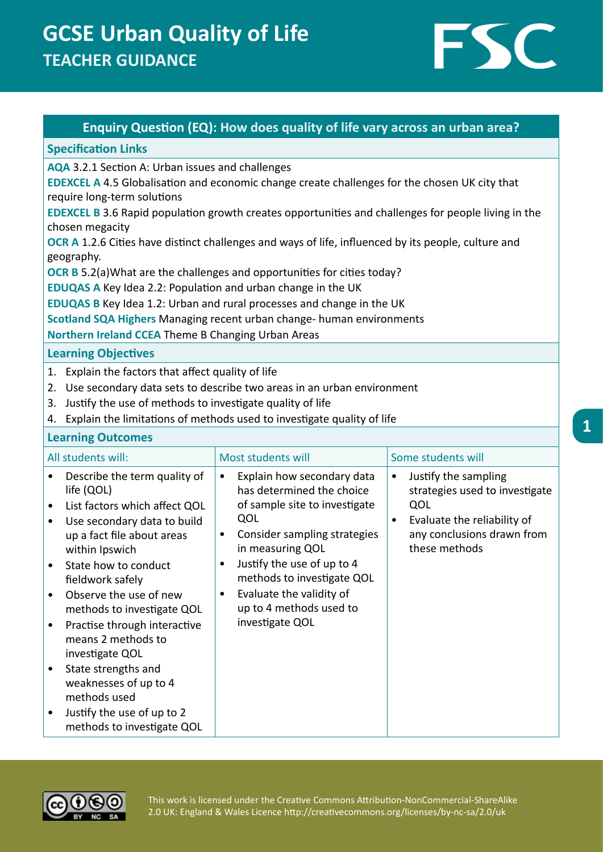# **GCSE Urban Quality of Life TEACHER GUIDANCE**



### **Enquiry Question (EQ): How does quality of life vary across an urban area?**

#### **Specification Links**

**AQA** 3.2.1 Section A: Urban issues and challenges

**EDEXCEL A** 4.5 Globalisation and economic change create challenges for the chosen UK city that require long-term solutions

**EDEXCEL B** 3.6 Rapid population growth creates opportunities and challenges for people living in the chosen megacity

**OCR A** 1.2.6 Cities have distinct challenges and ways of life, influenced by its people, culture and geography.

**OCR B** 5.2(a)What are the challenges and opportunities for cities today?

**EDUQAS A** Key Idea 2.2: Population and urban change in the UK

**EDUQAS B** Key Idea 1.2: Urban and rural processes and change in the UK

**Scotland SQA Highers** Managing recent urban change- human environments

**Northern Ireland CCEA** Theme B Changing Urban Areas

**Learning Objectives**

- 1. Explain the factors that affect quality of life
- 2. Use secondary data sets to describe two areas in an urban environment
- 3. Justify the use of methods to investigate quality of life
- 4. Explain the limitations of methods used to investigate quality of life

#### **Learning Outcomes**

| All students will:                                                                                                                                                                                                                                                                                                                                                                                                                                                                                                                                                  | Most students will                                                                                                                                                                                                                                                                                                                            | Some students will                                                                                                                          |
|---------------------------------------------------------------------------------------------------------------------------------------------------------------------------------------------------------------------------------------------------------------------------------------------------------------------------------------------------------------------------------------------------------------------------------------------------------------------------------------------------------------------------------------------------------------------|-----------------------------------------------------------------------------------------------------------------------------------------------------------------------------------------------------------------------------------------------------------------------------------------------------------------------------------------------|---------------------------------------------------------------------------------------------------------------------------------------------|
| Describe the term quality of<br>$\bullet$<br>life (QOL)<br>List factors which affect QOL<br>$\bullet$<br>Use secondary data to build<br>$\bullet$<br>up a fact file about areas<br>within Ipswich<br>State how to conduct<br>$\bullet$<br>fieldwork safely<br>Observe the use of new<br>$\bullet$<br>methods to investigate QOL<br>Practise through interactive<br>$\bullet$<br>means 2 methods to<br>investigate QOL<br>State strengths and<br>٠<br>weaknesses of up to 4<br>methods used<br>Justify the use of up to 2<br>$\bullet$<br>methods to investigate QOL | Explain how secondary data<br>$\bullet$<br>has determined the choice<br>of sample site to investigate<br>QOL<br>Consider sampling strategies<br>$\bullet$<br>in measuring QOL<br>Justify the use of up to 4<br>$\bullet$<br>methods to investigate QOL<br>Evaluate the validity of<br>$\bullet$<br>up to 4 methods used to<br>investigate QOL | Justify the sampling<br>strategies used to investigate<br>QOL<br>Evaluate the reliability of<br>any conclusions drawn from<br>these methods |